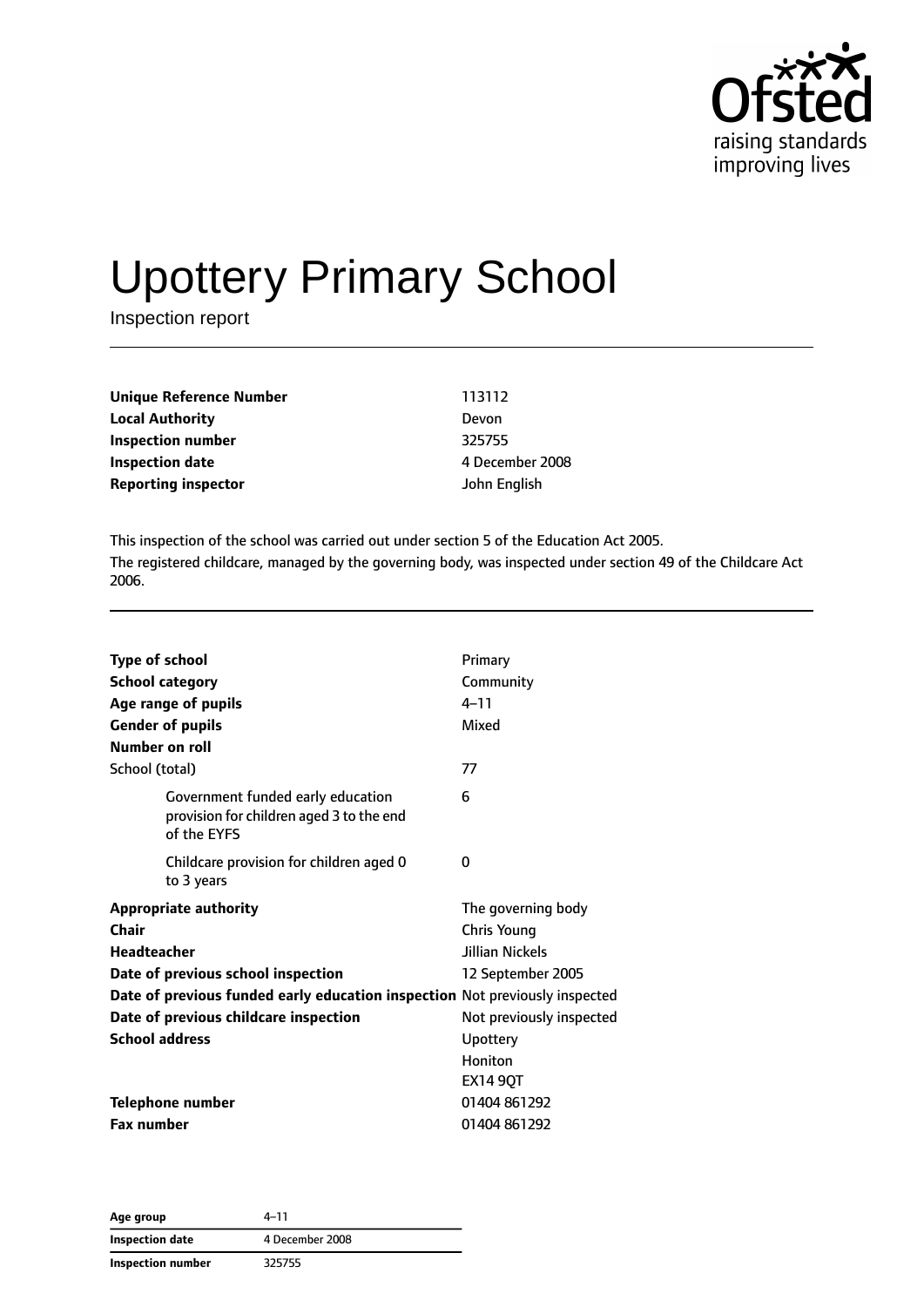

# Upottery Primary School

Inspection report

| Unique Reference Number    | 113112          |
|----------------------------|-----------------|
| <b>Local Authority</b>     | Devon           |
| Inspection number          | 325755          |
| <b>Inspection date</b>     | 4 December 2008 |
| <b>Reporting inspector</b> | John English    |

This inspection of the school was carried out under section 5 of the Education Act 2005. The registered childcare, managed by the governing body, was inspected under section 49 of the Childcare Act 2006.

| <b>Type of school</b><br><b>School category</b><br>Age range of pupils<br><b>Gender of pupils</b> | Primary<br>Community<br>$4 - 11$<br>Mixed                                        |
|---------------------------------------------------------------------------------------------------|----------------------------------------------------------------------------------|
| Number on roll                                                                                    |                                                                                  |
| School (total)                                                                                    | 77                                                                               |
| Government funded early education<br>provision for children aged 3 to the end<br>of the EYFS      | 6                                                                                |
| Childcare provision for children aged 0<br>to 3 years                                             | 0                                                                                |
| <b>Appropriate authority</b><br>Chair<br><b>Headteacher</b><br>Date of previous school inspection | The governing body<br><b>Chris Young</b><br>Jillian Nickels<br>12 September 2005 |
| Date of previous funded early education inspection Not previously inspected                       |                                                                                  |
| Date of previous childcare inspection                                                             | Not previously inspected                                                         |
| <b>School address</b>                                                                             | Upottery                                                                         |
|                                                                                                   | Honiton<br><b>EX14 9QT</b>                                                       |
| <b>Telephone number</b>                                                                           | 01404 861292                                                                     |
| <b>Fax number</b>                                                                                 | 01404 861292                                                                     |

**Age group** 4–11 **Inspection date** 4 December 2008 **Inspection number** 325755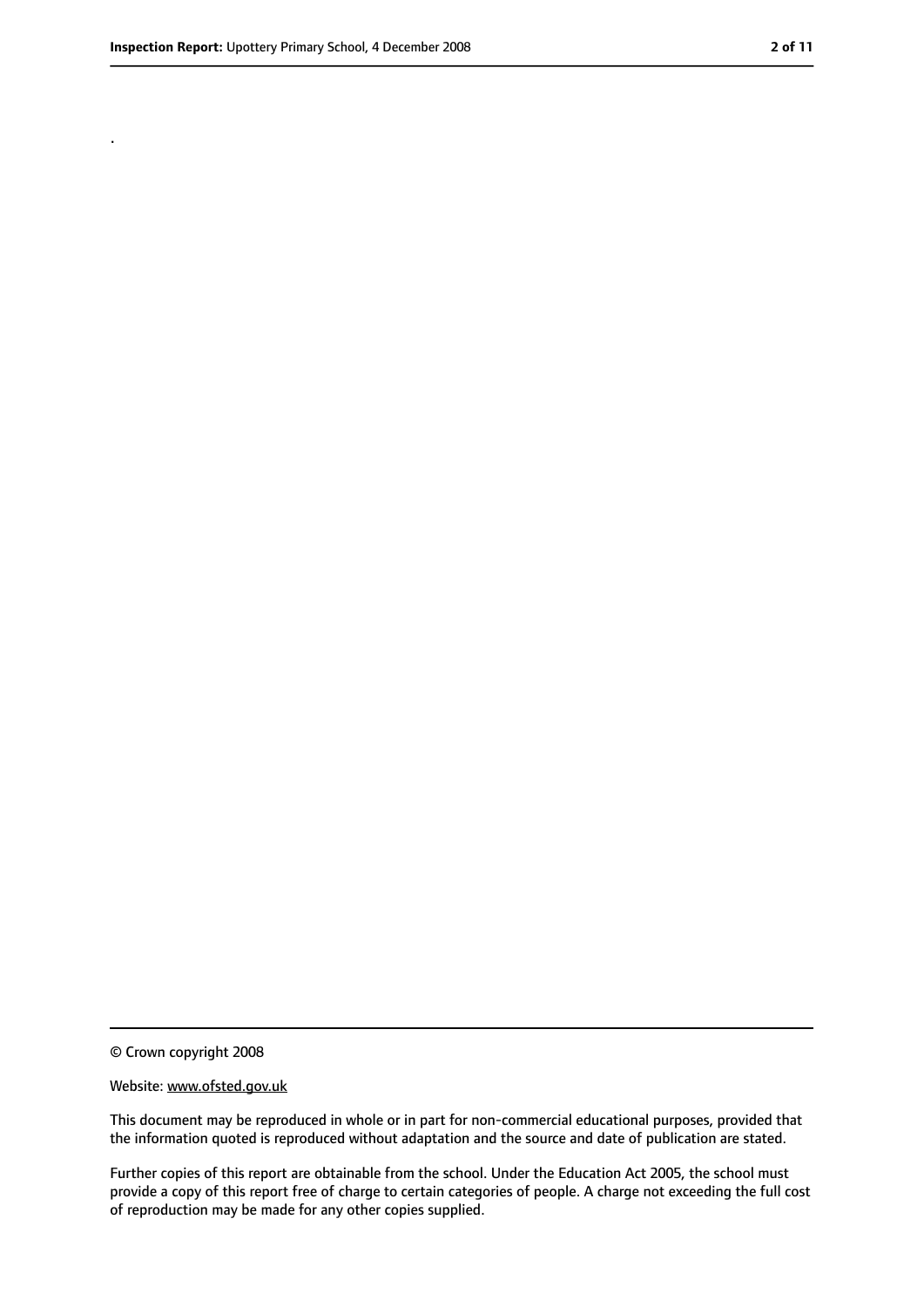.

<sup>©</sup> Crown copyright 2008

Website: www.ofsted.gov.uk

This document may be reproduced in whole or in part for non-commercial educational purposes, provided that the information quoted is reproduced without adaptation and the source and date of publication are stated.

Further copies of this report are obtainable from the school. Under the Education Act 2005, the school must provide a copy of this report free of charge to certain categories of people. A charge not exceeding the full cost of reproduction may be made for any other copies supplied.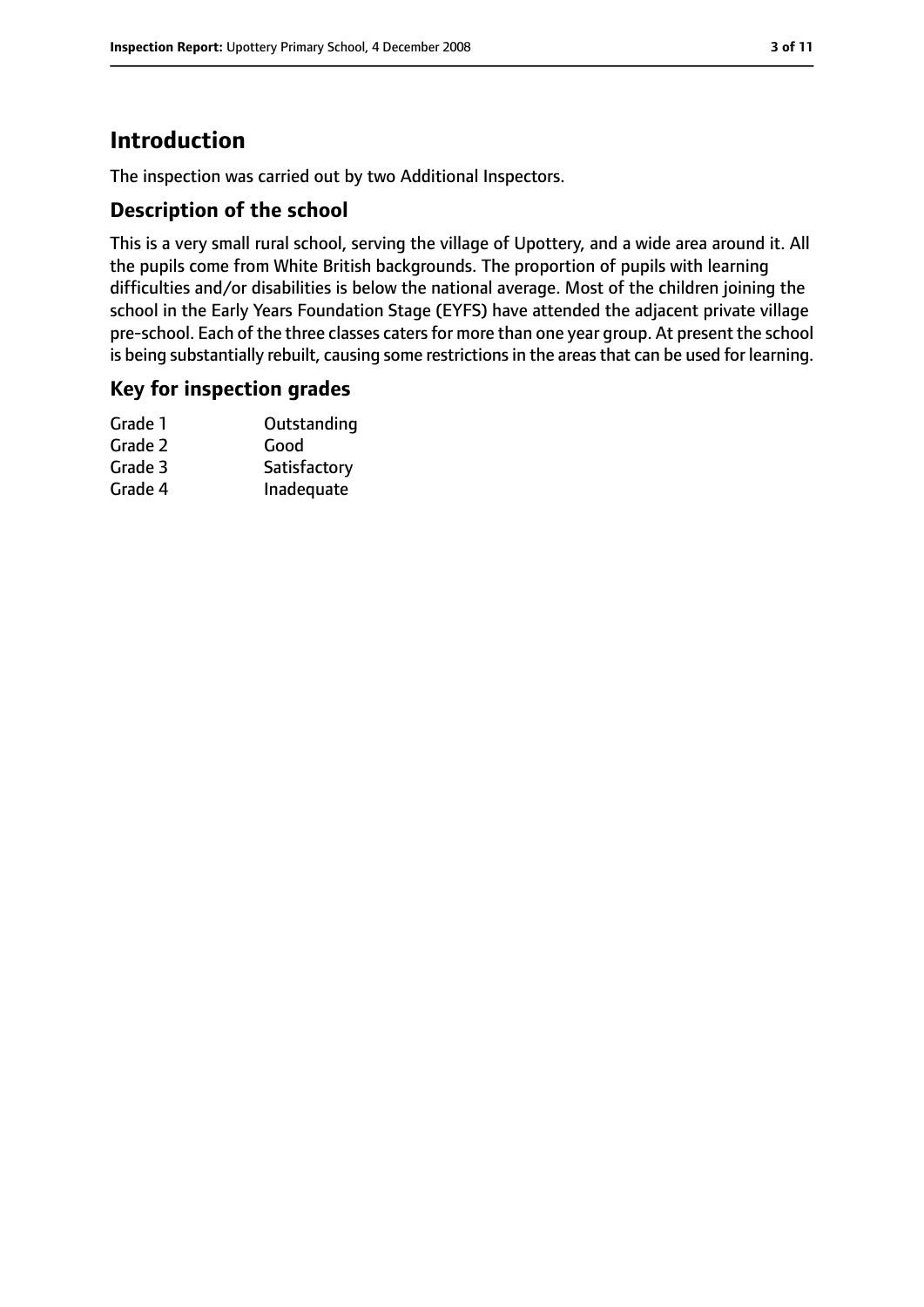# **Introduction**

The inspection was carried out by two Additional Inspectors.

## **Description of the school**

This is a very small rural school, serving the village of Upottery, and a wide area around it. All the pupils come from White British backgrounds. The proportion of pupils with learning difficulties and/or disabilities is below the national average. Most of the children joining the school in the Early Years Foundation Stage (EYFS) have attended the adjacent private village pre-school. Each of the three classes caters for more than one year group. At present the school is being substantially rebuilt, causing some restrictions in the areas that can be used for learning.

## **Key for inspection grades**

| Grade 1 | Outstanding  |
|---------|--------------|
| Grade 2 | Good         |
| Grade 3 | Satisfactory |
| Grade 4 | Inadequate   |
|         |              |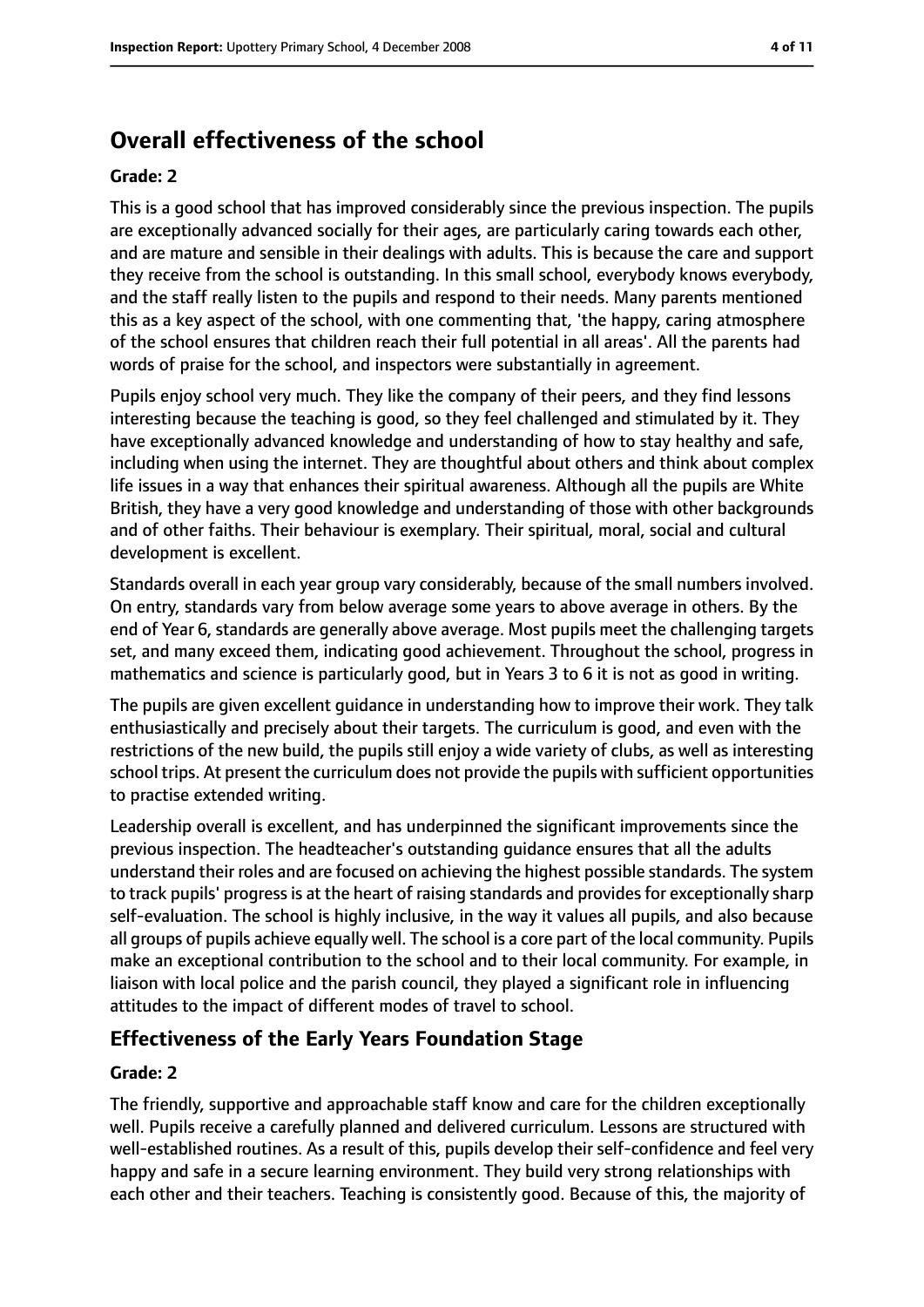# **Overall effectiveness of the school**

#### **Grade: 2**

This is a good school that has improved considerably since the previous inspection. The pupils are exceptionally advanced socially for their ages, are particularly caring towards each other, and are mature and sensible in their dealings with adults. This is because the care and support they receive from the school is outstanding. In this small school, everybody knows everybody, and the staff really listen to the pupils and respond to their needs. Many parents mentioned this as a key aspect of the school, with one commenting that, 'the happy, caring atmosphere of the school ensures that children reach their full potential in all areas'. All the parents had words of praise for the school, and inspectors were substantially in agreement.

Pupils enjoy school very much. They like the company of their peers, and they find lessons interesting because the teaching is good, so they feel challenged and stimulated by it. They have exceptionally advanced knowledge and understanding of how to stay healthy and safe, including when using the internet. They are thoughtful about others and think about complex life issues in a way that enhances their spiritual awareness. Although all the pupils are White British, they have a very good knowledge and understanding of those with other backgrounds and of other faiths. Their behaviour is exemplary. Their spiritual, moral, social and cultural development is excellent.

Standards overall in each year group vary considerably, because of the small numbers involved. On entry, standards vary from below average some years to above average in others. By the end of Year 6, standards are generally above average. Most pupils meet the challenging targets set, and many exceed them, indicating good achievement. Throughout the school, progress in mathematics and science is particularly good, but in Years 3 to 6 it is not as good in writing.

The pupils are given excellent guidance in understanding how to improve their work. They talk enthusiastically and precisely about their targets. The curriculum is good, and even with the restrictions of the new build, the pupils still enjoy a wide variety of clubs, as well as interesting school trips. At present the curriculum does not provide the pupils with sufficient opportunities to practise extended writing.

Leadership overall is excellent, and has underpinned the significant improvements since the previous inspection. The headteacher's outstanding guidance ensures that all the adults understand their roles and are focused on achieving the highest possible standards. The system to track pupils' progress is at the heart of raising standards and provides for exceptionally sharp self-evaluation. The school is highly inclusive, in the way it values all pupils, and also because all groups of pupils achieve equally well. The school is a core part of the local community. Pupils make an exceptional contribution to the school and to their local community. For example, in liaison with local police and the parish council, they played a significant role in influencing attitudes to the impact of different modes of travel to school.

## **Effectiveness of the Early Years Foundation Stage**

#### **Grade: 2**

The friendly, supportive and approachable staff know and care for the children exceptionally well. Pupils receive a carefully planned and delivered curriculum. Lessons are structured with well-established routines. As a result of this, pupils develop their self-confidence and feel very happy and safe in a secure learning environment. They build very strong relationships with each other and their teachers. Teaching is consistently good. Because of this, the majority of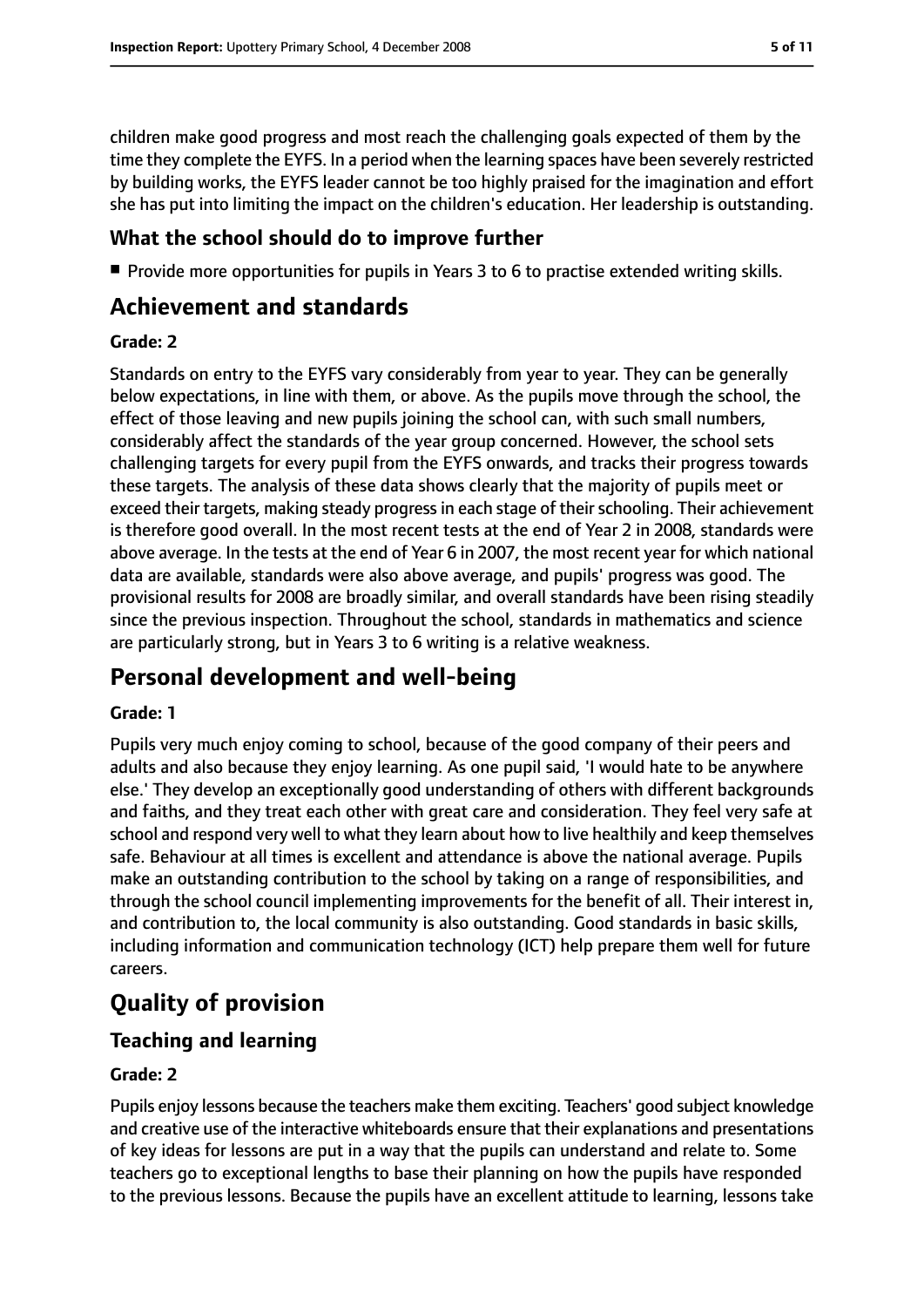children make good progress and most reach the challenging goals expected of them by the time they complete the EYFS. In a period when the learning spaces have been severely restricted by building works, the EYFS leader cannot be too highly praised for the imagination and effort she has put into limiting the impact on the children's education. Her leadership is outstanding.

## **What the school should do to improve further**

■ Provide more opportunities for pupils in Years 3 to 6 to practise extended writing skills.

# **Achievement and standards**

#### **Grade: 2**

Standards on entry to the EYFS vary considerably from year to year. They can be generally below expectations, in line with them, or above. As the pupils move through the school, the effect of those leaving and new pupils joining the school can, with such small numbers, considerably affect the standards of the year group concerned. However, the school sets challenging targets for every pupil from the EYFS onwards, and tracks their progress towards these targets. The analysis of these data shows clearly that the majority of pupils meet or exceed their targets, making steady progress in each stage of their schooling. Their achievement is therefore good overall. In the most recent tests at the end of Year 2 in 2008, standards were above average. In the tests at the end of Year 6 in 2007, the most recent year for which national data are available, standards were also above average, and pupils' progress was good. The provisional results for 2008 are broadly similar, and overall standards have been rising steadily since the previous inspection. Throughout the school, standards in mathematics and science are particularly strong, but in Years 3 to 6 writing is a relative weakness.

# **Personal development and well-being**

#### **Grade: 1**

Pupils very much enjoy coming to school, because of the good company of their peers and adults and also because they enjoy learning. As one pupil said, 'I would hate to be anywhere else.' They develop an exceptionally good understanding of others with different backgrounds and faiths, and they treat each other with great care and consideration. They feel very safe at school and respond very well to what they learn about how to live healthily and keep themselves safe. Behaviour at all times is excellent and attendance is above the national average. Pupils make an outstanding contribution to the school by taking on a range of responsibilities, and through the school council implementing improvements for the benefit of all. Their interest in, and contribution to, the local community is also outstanding. Good standards in basic skills, including information and communication technology (ICT) help prepare them well for future careers.

# **Quality of provision**

# **Teaching and learning**

#### **Grade: 2**

Pupils enjoy lessons because the teachers make them exciting. Teachers' good subject knowledge and creative use of the interactive whiteboards ensure that their explanations and presentations of key ideas for lessons are put in a way that the pupils can understand and relate to. Some teachers go to exceptional lengths to base their planning on how the pupils have responded to the previous lessons. Because the pupils have an excellent attitude to learning, lessons take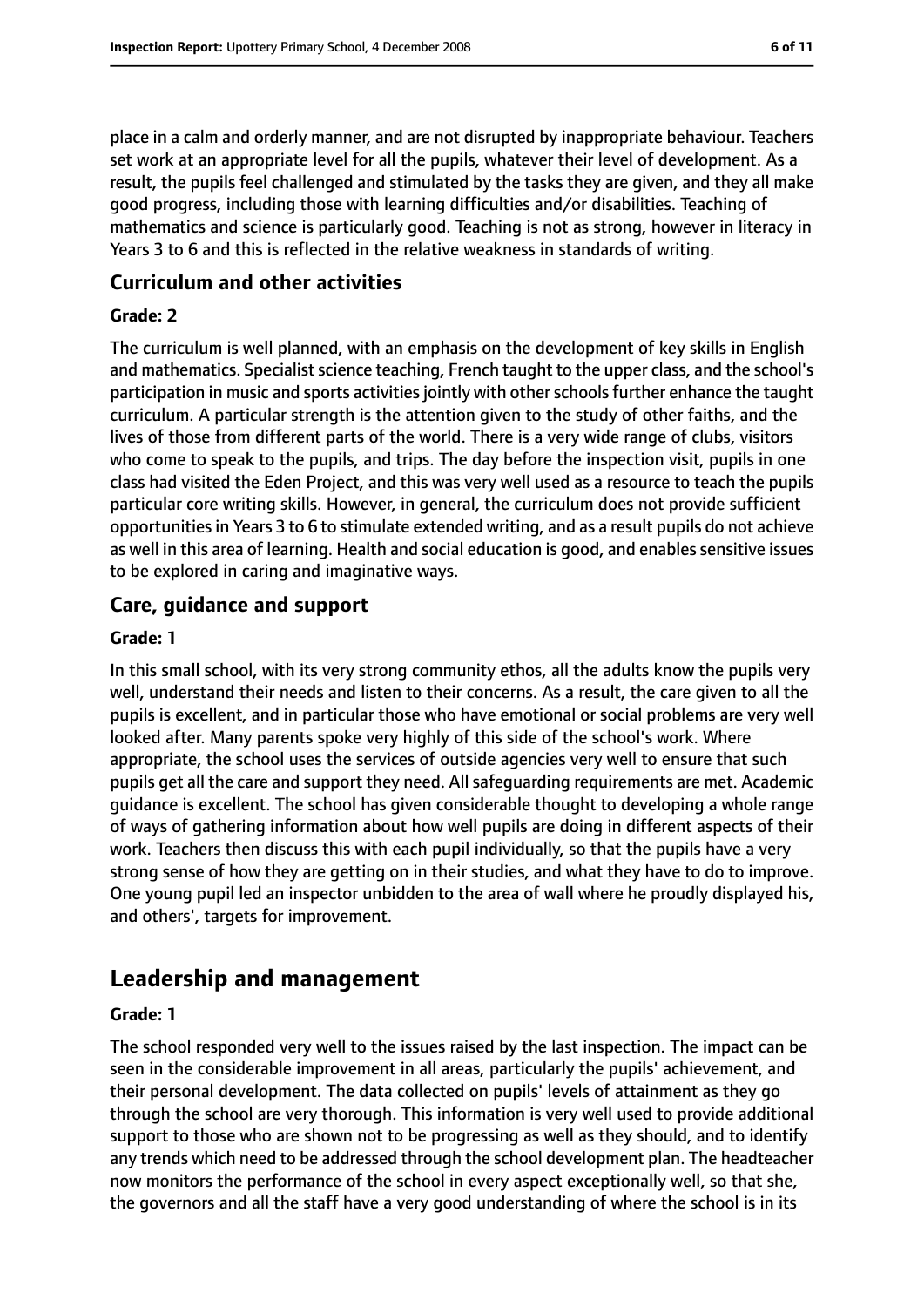place in a calm and orderly manner, and are not disrupted by inappropriate behaviour. Teachers set work at an appropriate level for all the pupils, whatever their level of development. As a result, the pupils feel challenged and stimulated by the tasks they are given, and they all make good progress, including those with learning difficulties and/or disabilities. Teaching of mathematics and science is particularly good. Teaching is not as strong, however in literacy in Years 3 to 6 and this is reflected in the relative weakness in standards of writing.

### **Curriculum and other activities**

#### **Grade: 2**

The curriculum is well planned, with an emphasis on the development of key skills in English and mathematics. Specialist science teaching, French taught to the upper class, and the school's participation in music and sports activities jointly with other schools further enhance the taught curriculum. A particular strength is the attention given to the study of other faiths, and the lives of those from different parts of the world. There is a very wide range of clubs, visitors who come to speak to the pupils, and trips. The day before the inspection visit, pupils in one class had visited the Eden Project, and this was very well used as a resource to teach the pupils particular core writing skills. However, in general, the curriculum does not provide sufficient opportunitiesin Years 3 to 6 to stimulate extended writing, and as a result pupils do not achieve as well in this area of learning. Health and social education is good, and enables sensitive issues to be explored in caring and imaginative ways.

## **Care, guidance and support**

#### **Grade: 1**

In this small school, with its very strong community ethos, all the adults know the pupils very well, understand their needs and listen to their concerns. As a result, the care given to all the pupils is excellent, and in particular those who have emotional or social problems are very well looked after. Many parents spoke very highly of this side of the school's work. Where appropriate, the school uses the services of outside agencies very well to ensure that such pupils get all the care and support they need. All safeguarding requirements are met. Academic guidance is excellent. The school has given considerable thought to developing a whole range of ways of gathering information about how well pupils are doing in different aspects of their work. Teachers then discuss this with each pupil individually, so that the pupils have a very strong sense of how they are getting on in their studies, and what they have to do to improve. One young pupil led an inspector unbidden to the area of wall where he proudly displayed his, and others', targets for improvement.

# **Leadership and management**

#### **Grade: 1**

The school responded very well to the issues raised by the last inspection. The impact can be seen in the considerable improvement in all areas, particularly the pupils' achievement, and their personal development. The data collected on pupils' levels of attainment as they go through the school are very thorough. This information is very well used to provide additional support to those who are shown not to be progressing as well as they should, and to identify any trends which need to be addressed through the school development plan. The headteacher now monitors the performance of the school in every aspect exceptionally well, so that she, the governors and all the staff have a very good understanding of where the school is in its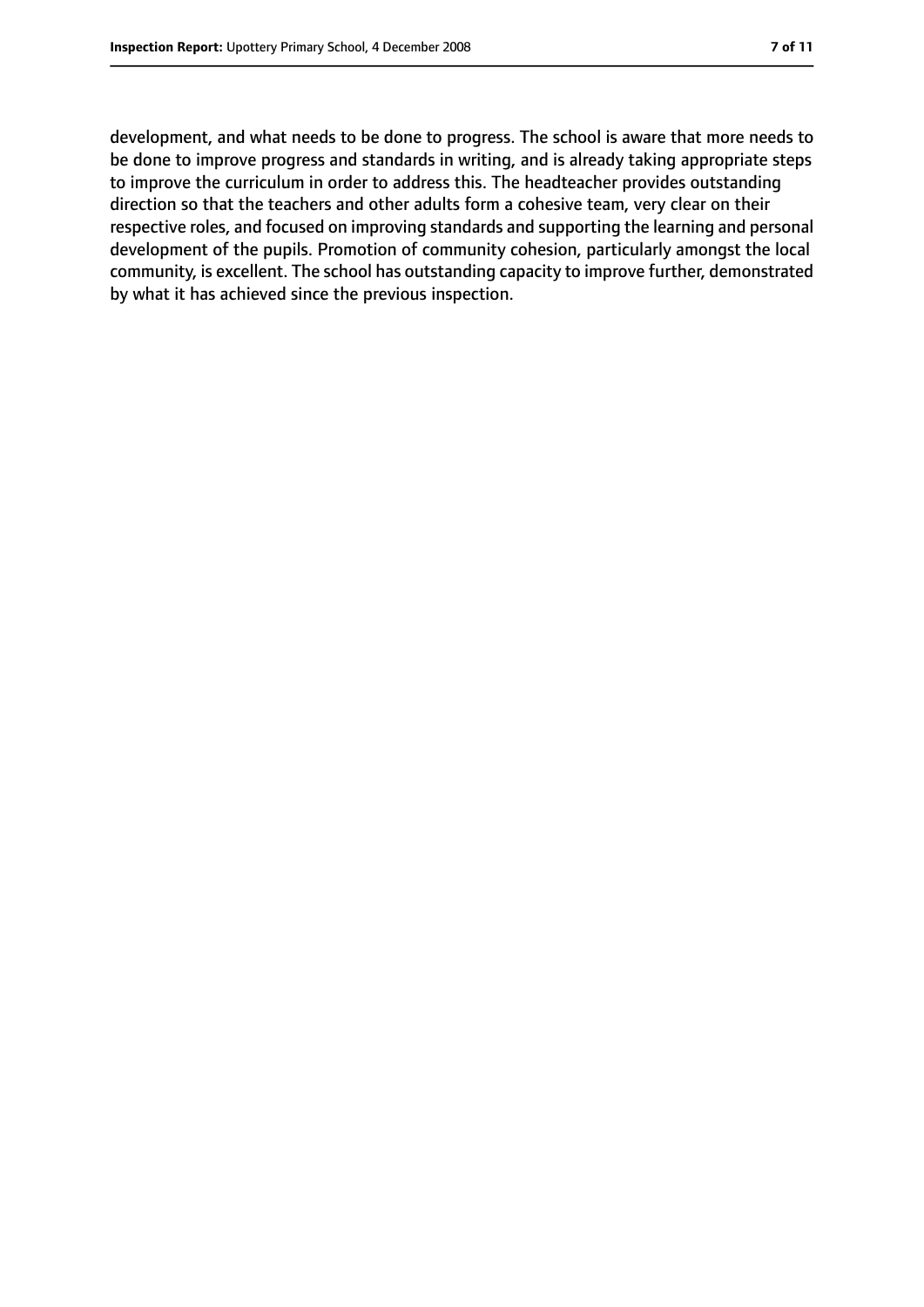development, and what needs to be done to progress. The school is aware that more needs to be done to improve progress and standards in writing, and is already taking appropriate steps to improve the curriculum in order to address this. The headteacher provides outstanding direction so that the teachers and other adults form a cohesive team, very clear on their respective roles, and focused on improving standards and supporting the learning and personal development of the pupils. Promotion of community cohesion, particularly amongst the local community, is excellent. The school has outstanding capacity to improve further, demonstrated by what it has achieved since the previous inspection.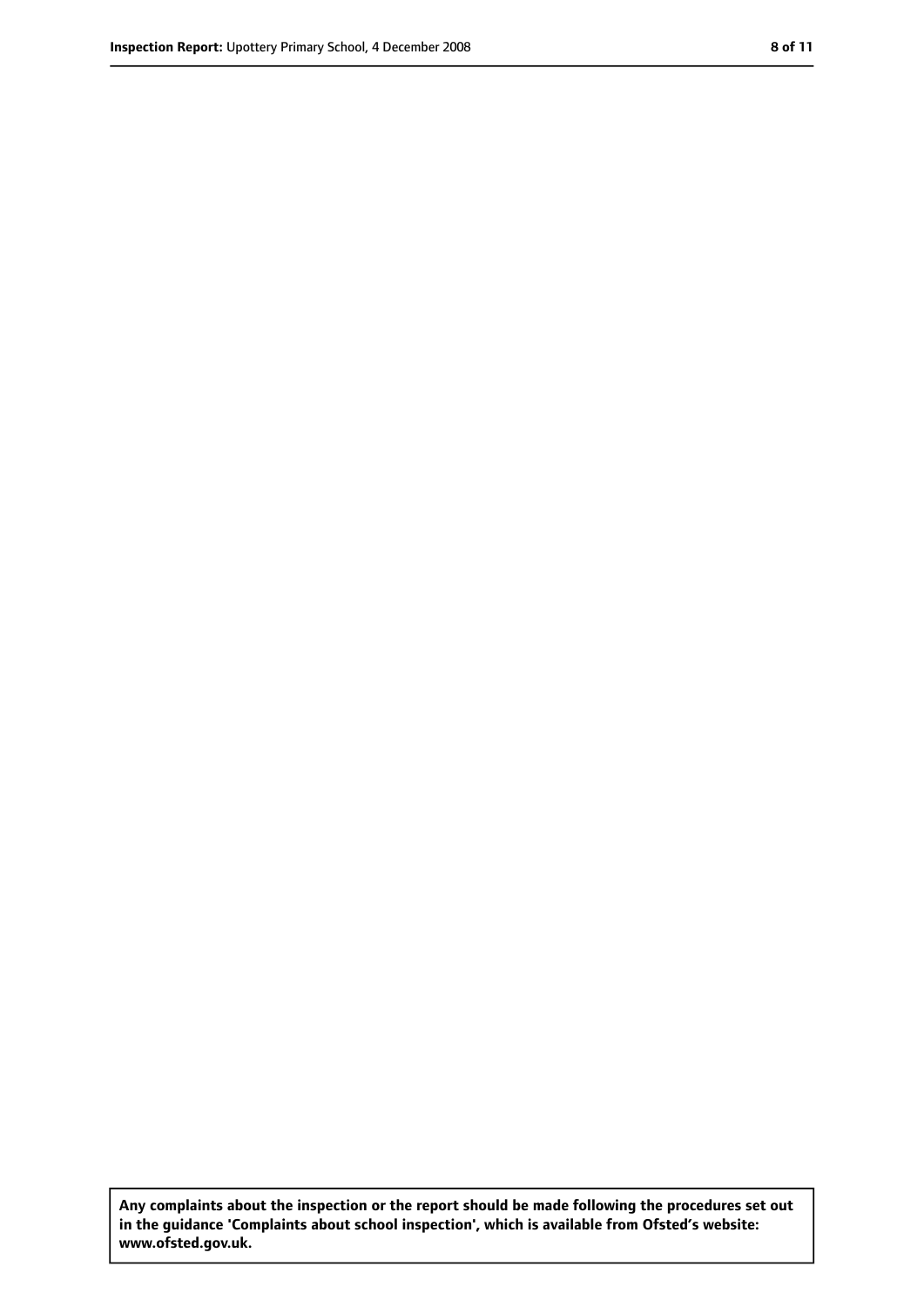**Any complaints about the inspection or the report should be made following the procedures set out in the guidance 'Complaints about school inspection', which is available from Ofsted's website: www.ofsted.gov.uk.**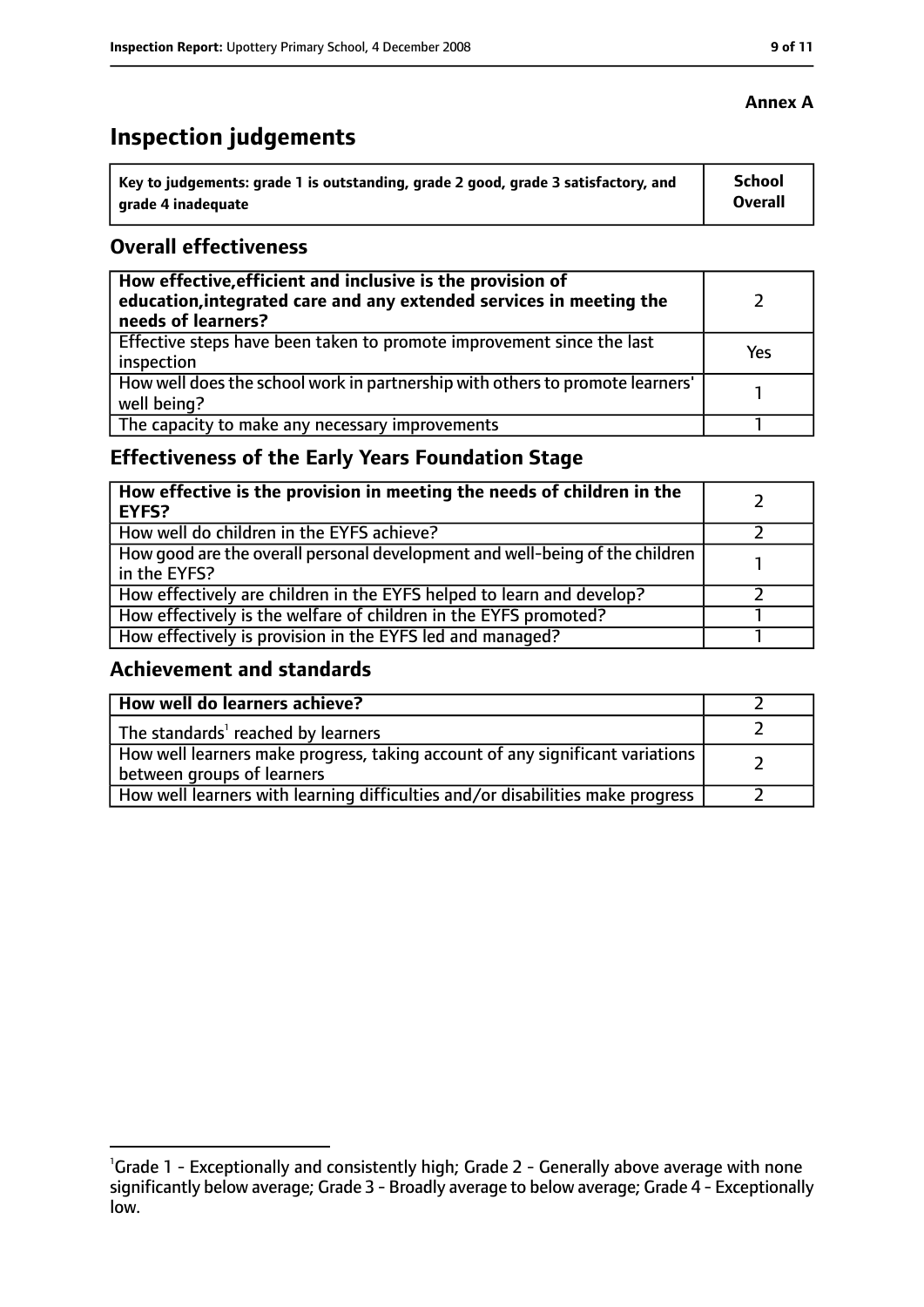# **Inspection judgements**

| key to judgements: grade 1 is outstanding, grade 2 good, grade 3 satisfactory, and ا | School         |
|--------------------------------------------------------------------------------------|----------------|
| arade 4 inadequate                                                                   | <b>Overall</b> |

## **Overall effectiveness**

| How effective, efficient and inclusive is the provision of<br>education, integrated care and any extended services in meeting the<br>needs of learners? |     |
|---------------------------------------------------------------------------------------------------------------------------------------------------------|-----|
| Effective steps have been taken to promote improvement since the last<br>inspection                                                                     | Yes |
| How well does the school work in partnership with others to promote learners'<br>well being?                                                            |     |
| The capacity to make any necessary improvements                                                                                                         |     |

# **Effectiveness of the Early Years Foundation Stage**

| How effective is the provision in meeting the needs of children in the<br>l EYFS?              |  |
|------------------------------------------------------------------------------------------------|--|
| How well do children in the EYFS achieve?                                                      |  |
| How good are the overall personal development and well-being of the children<br>I in the EYFS? |  |
| How effectively are children in the EYFS helped to learn and develop?                          |  |
| How effectively is the welfare of children in the EYFS promoted?                               |  |
| How effectively is provision in the EYFS led and managed?                                      |  |

#### **Achievement and standards**

| How well do learners achieve?                                                  |  |
|--------------------------------------------------------------------------------|--|
| $\vert$ The standards <sup>1</sup> reached by learners                         |  |
| How well learners make progress, taking account of any significant variations  |  |
| between groups of learners                                                     |  |
| How well learners with learning difficulties and/or disabilities make progress |  |

## **Annex A**

<sup>&</sup>lt;sup>1</sup>Grade 1 - Exceptionally and consistently high; Grade 2 - Generally above average with none significantly below average; Grade 3 - Broadly average to below average; Grade 4 - Exceptionally low.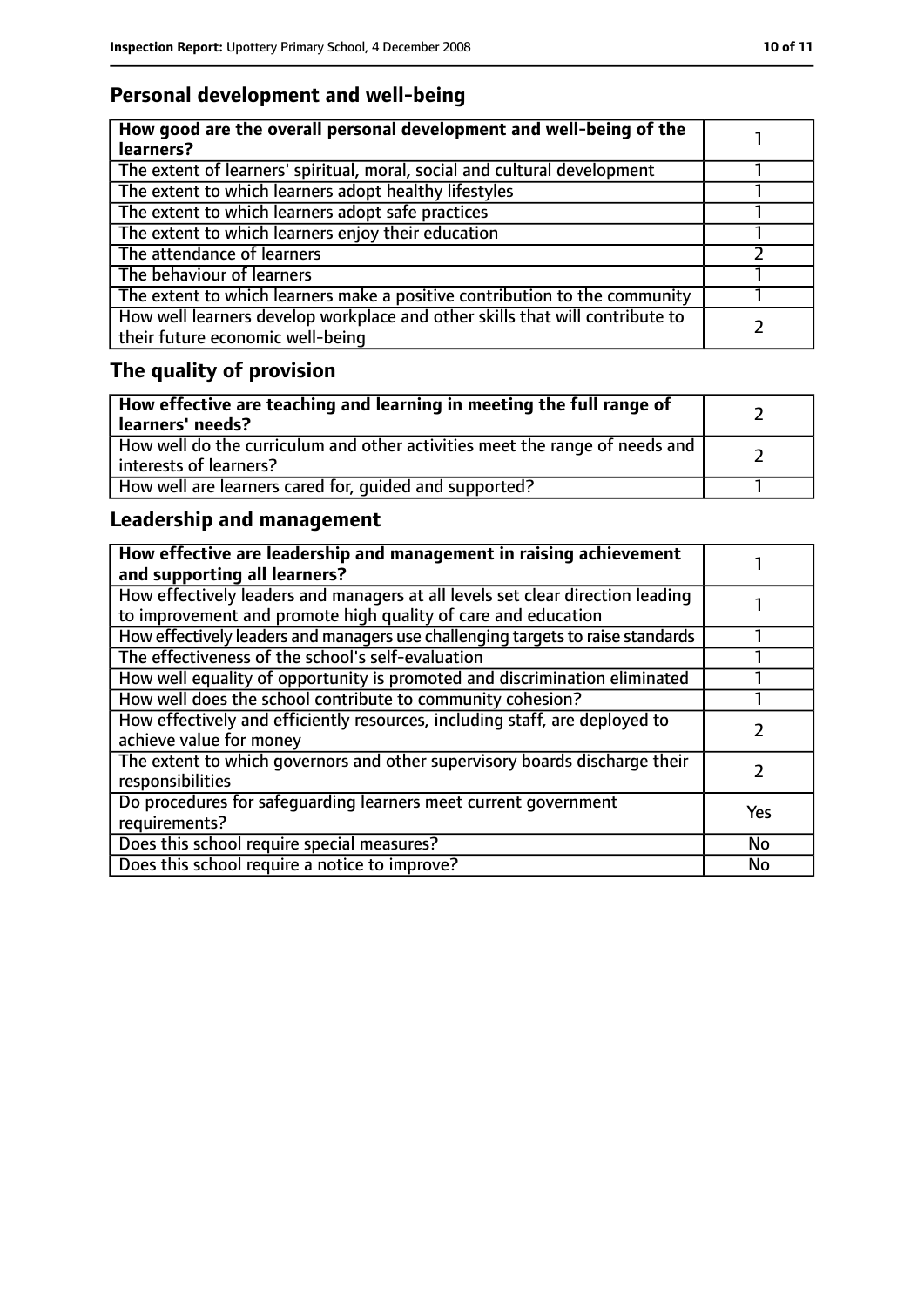# **Personal development and well-being**

| How good are the overall personal development and well-being of the<br>learners?                                 |  |
|------------------------------------------------------------------------------------------------------------------|--|
| The extent of learners' spiritual, moral, social and cultural development                                        |  |
| The extent to which learners adopt healthy lifestyles                                                            |  |
| The extent to which learners adopt safe practices                                                                |  |
| The extent to which learners enjoy their education                                                               |  |
| The attendance of learners                                                                                       |  |
| The behaviour of learners                                                                                        |  |
| The extent to which learners make a positive contribution to the community                                       |  |
| How well learners develop workplace and other skills that will contribute to<br>their future economic well-being |  |

# **The quality of provision**

| How effective are teaching and learning in meeting the full range of<br>learners' needs?              |  |
|-------------------------------------------------------------------------------------------------------|--|
| How well do the curriculum and other activities meet the range of needs and<br>interests of learners? |  |
| How well are learners cared for, quided and supported?                                                |  |

# **Leadership and management**

| How effective are leadership and management in raising achievement<br>and supporting all learners?                                              |           |
|-------------------------------------------------------------------------------------------------------------------------------------------------|-----------|
| How effectively leaders and managers at all levels set clear direction leading<br>to improvement and promote high quality of care and education |           |
| How effectively leaders and managers use challenging targets to raise standards                                                                 |           |
| The effectiveness of the school's self-evaluation                                                                                               |           |
| How well equality of opportunity is promoted and discrimination eliminated                                                                      |           |
| How well does the school contribute to community cohesion?                                                                                      |           |
| How effectively and efficiently resources, including staff, are deployed to<br>achieve value for money                                          |           |
| The extent to which governors and other supervisory boards discharge their<br>responsibilities                                                  |           |
| Do procedures for safequarding learners meet current government<br>requirements?                                                                | Yes       |
| Does this school require special measures?                                                                                                      | <b>No</b> |
| Does this school require a notice to improve?                                                                                                   | No        |